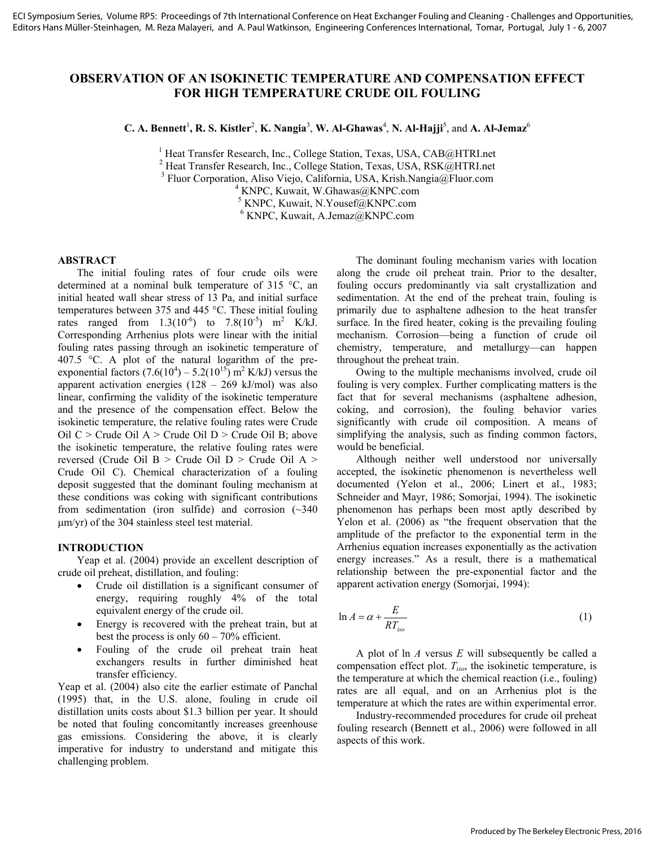# **OBSERVATION OF AN ISOKINETIC TEMPERATURE AND COMPENSATION EFFECT FOR HIGH TEMPERATURE CRUDE OIL FOULING**

 $C$ . A. Bennett<sup>1</sup>, R. S. Kistler<sup>2</sup>, K. Nangia<sup>3</sup>, W. Al-Ghawas<sup>4</sup>, N. Al-Hajji<sup>5</sup>, and A. Al-Jemaz<sup>6</sup>

<sup>1</sup> Heat Transfer Research, Inc., College Station, Texas, USA, CAB@HTRI.net<br><sup>2</sup> Heat Transfer Research, Inc., College Station, Texas, USA, RSV@UTRI.net

<sup>2</sup> Heat Transfer Research, Inc., College Station, Texas, USA, RSK@HTRI.net

<sup>3</sup> Fluor Corporation, Aliso Viejo, California, USA, Krish.Nangia@Fluor.com  $4$  KNDC, Knugit, W. Chause *CKNDC* com

 $4$  KNPC, Kuwait, W.Ghawas@KNPC.com

<sup>5</sup> KNPC, Kuwait, N.Yousef@KNPC.com

6 KNPC, Kuwait, A.Jemaz@KNPC.com

### **ABSTRACT**

The initial fouling rates of four crude oils were determined at a nominal bulk temperature of 315 °C, an initial heated wall shear stress of 13 Pa, and initial surface temperatures between 375 and 445 °C. These initial fouling rates ranged from  $1.3(10^{-6})$  to  $7.8(10^{-5})$  m<sup>2</sup> K/kJ. Corresponding Arrhenius plots were linear with the initial fouling rates passing through an isokinetic temperature of 407.5 °C. A plot of the natural logarithm of the preexponential factors  $(7.6(10^4) - 5.2(10^{15}))$  m<sup>2</sup> K/kJ) versus the apparent activation energies (128 – 269 kJ/mol) was also linear, confirming the validity of the isokinetic temperature and the presence of the compensation effect. Below the isokinetic temperature, the relative fouling rates were Crude Oil  $C >$  Crude Oil A  $>$  Crude Oil D  $>$  Crude Oil B; above the isokinetic temperature, the relative fouling rates were reversed (Crude Oil B > Crude Oil D > Crude Oil A > Crude Oil C). Chemical characterization of a fouling deposit suggested that the dominant fouling mechanism at these conditions was coking with significant contributions from sedimentation (iron sulfide) and corrosion  $(\sim 340)$ µm/yr) of the 304 stainless steel test material.

#### **INTRODUCTION**

Yeap et al. (2004) provide an excellent description of crude oil preheat, distillation, and fouling:

- Crude oil distillation is a significant consumer of energy, requiring roughly 4% of the total equivalent energy of the crude oil.
- Energy is recovered with the preheat train, but at best the process is only  $60 - 70\%$  efficient.
- Fouling of the crude oil preheat train heat exchangers results in further diminished heat transfer efficiency.

Yeap et al. (2004) also cite the earlier estimate of Panchal (1995) that, in the U.S. alone, fouling in crude oil distillation units costs about \$1.3 billion per year. It should be noted that fouling concomitantly increases greenhouse gas emissions. Considering the above, it is clearly imperative for industry to understand and mitigate this challenging problem.

The dominant fouling mechanism varies with location along the crude oil preheat train. Prior to the desalter, fouling occurs predominantly via salt crystallization and sedimentation. At the end of the preheat train, fouling is primarily due to asphaltene adhesion to the heat transfer surface. In the fired heater, coking is the prevailing fouling mechanism. Corrosion—being a function of crude oil chemistry, temperature, and metallurgy—can happen throughout the preheat train.

Owing to the multiple mechanisms involved, crude oil fouling is very complex. Further complicating matters is the fact that for several mechanisms (asphaltene adhesion, coking, and corrosion), the fouling behavior varies significantly with crude oil composition. A means of simplifying the analysis, such as finding common factors, would be beneficial.

Although neither well understood nor universally accepted, the isokinetic phenomenon is nevertheless well documented (Yelon et al., 2006; Linert et al., 1983; Schneider and Mayr, 1986; Somorjai, 1994). The isokinetic phenomenon has perhaps been most aptly described by Yelon et al. (2006) as "the frequent observation that the amplitude of the prefactor to the exponential term in the Arrhenius equation increases exponentially as the activation energy increases." As a result, there is a mathematical relationship between the pre-exponential factor and the apparent activation energy (Somorjai, 1994):

$$
\ln A = \alpha + \frac{E}{RT_{iso}}\tag{1}
$$

A plot of ln *A* versus *E* will subsequently be called a compensation effect plot. *Tiso*, the isokinetic temperature, is the temperature at which the chemical reaction (i.e., fouling) rates are all equal, and on an Arrhenius plot is the temperature at which the rates are within experimental error.

Industry-recommended procedures for crude oil preheat fouling research (Bennett et al., 2006) were followed in all aspects of this work.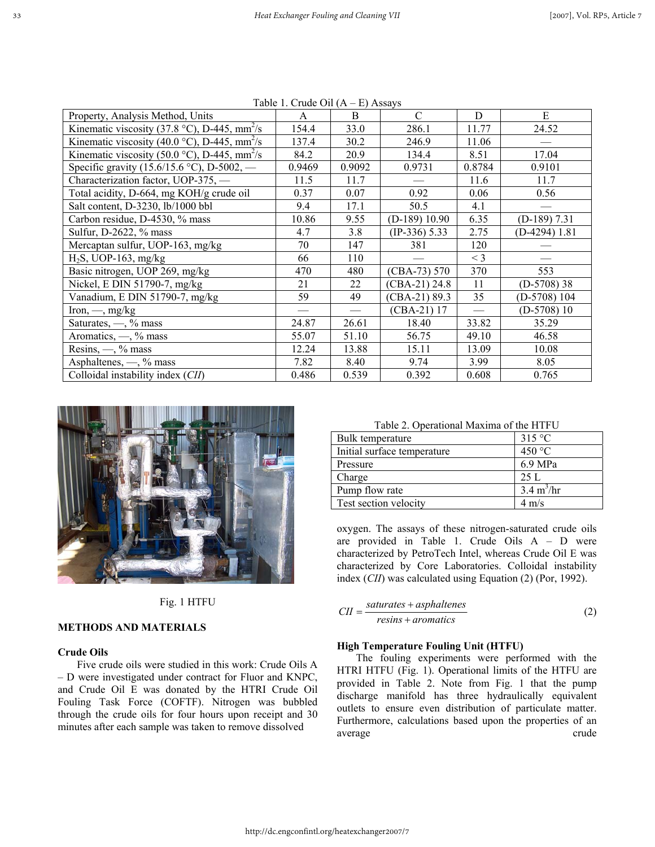|                                                          | $140001.$ Cruge On (11 Left 1135a) |        |                 |        |                 |
|----------------------------------------------------------|------------------------------------|--------|-----------------|--------|-----------------|
| Property, Analysis Method, Units                         | $\mathsf{A}$                       | B      | C               | D      | E               |
| Kinematic viscosity (37.8 °C), D-445, mm <sup>2</sup> /s | 154.4                              | 33.0   | 286.1           | 11.77  | 24.52           |
| Kinematic viscosity (40.0 °C), D-445, mm <sup>2</sup> /s | 137.4                              | 30.2   | 246.9           | 11.06  |                 |
| Kinematic viscosity (50.0 °C), D-445, mm <sup>2</sup> /s | 84.2                               | 20.9   | 134.4           | 8.51   | 17.04           |
| Specific gravity (15.6/15.6 °C), D-5002, —               | 0.9469                             | 0.9092 | 0.9731          | 0.8784 | 0.9101          |
| Characterization factor, UOP-375, -                      | 11.5                               | 11.7   |                 | 11.6   | 11.7            |
| Total acidity, D-664, mg KOH/g crude oil                 | 0.37                               | 0.07   | 0.92            | 0.06   | 0.56            |
| Salt content, D-3230, lb/1000 bbl                        | 9.4                                | 17.1   | 50.5            | 4.1    |                 |
| Carbon residue, D-4530, % mass                           | 10.86                              | 9.55   | $(D-189)$ 10.90 | 6.35   | $(D-189)$ 7.31  |
| Sulfur, D-2622, % mass                                   | 4.7                                | 3.8    | $(IP-336)$ 5.33 | 2.75   | $(D-4294)$ 1.81 |
| Mercaptan sulfur, UOP-163, mg/kg                         | 70                                 | 147    | 381             | 120    |                 |
| $H_2S$ , UOP-163, mg/kg                                  | 66                                 | 110    |                 | $<$ 3  |                 |
| Basic nitrogen, UOP 269, mg/kg                           | 470                                | 480    | $(CBA-73) 570$  | 370    | 553             |
| Nickel, E DIN 51790-7, mg/kg                             | 21                                 | 22     | $(CBA-21) 24.8$ | 11     | $(D-5708)$ 38   |
| Vanadium, E DIN 51790-7, mg/kg                           | 59                                 | 49     | $(CBA-21) 89.3$ | 35     | $(D-5708)$ 104  |
| Iron, $\frac{m}{m}$ , mg/kg                              |                                    |        | $(CBA-21)$ 17   |        | $(D-5708)10$    |
| Saturates, $\frac{1}{2}$ mass                            | 24.87                              | 26.61  | 18.40           | 33.82  | 35.29           |
| Aromatics, $\leftarrow$ , % mass                         | 55.07                              | 51.10  | 56.75           | 49.10  | 46.58           |
| Resins, $-$ , % mass                                     | 12.24                              | 13.88  | 15.11           | 13.09  | 10.08           |
| Asphaltenes, -, % mass                                   | 7.82                               | 8.40   | 9.74            | 3.99   | 8.05            |
| Colloidal instability index (CII)                        | 0.486                              | 0.539  | 0.392           | 0.608  | 0.765           |

Table 1. Crude Oil (A – E) Assays



#### Fig. 1 HTFU

## **METHODS AND MATERIALS**

#### **Crude Oils**

Five crude oils were studied in this work: Crude Oils A – D were investigated under contract for Fluor and KNPC, and Crude Oil E was donated by the HTRI Crude Oil Fouling Task Force (COFTF). Nitrogen was bubbled through the crude oils for four hours upon receipt and 30 minutes after each sample was taken to remove dissolved

|  | Table 2. Operational Maxima of the HTFU |
|--|-----------------------------------------|
|--|-----------------------------------------|

| Bulk temperature            | 315 °C                      |
|-----------------------------|-----------------------------|
| Initial surface temperature | 450 °C                      |
| Pressure                    | 6.9 MPa                     |
| Charge                      | 25 L                        |
| Pump flow rate              | $3.4 \text{ m}^3/\text{hr}$ |
| Test section velocity       | $4 \text{ m/s}$             |

oxygen. The assays of these nitrogen-saturated crude oils are provided in Table 1. Crude Oils A – D were characterized by PetroTech Intel, whereas Crude Oil E was characterized by Core Laboratories. Colloidal instability index (*CII*) was calculated using Equation (2) (Por, 1992).

$$
CII = \frac{saturates + asphaltenes}{resins + aromatics}
$$
 (2)

#### **High Temperature Fouling Unit (HTFU)**

The fouling experiments were performed with the HTRI HTFU (Fig. 1). Operational limits of the HTFU are provided in Table 2. Note from Fig. 1 that the pump discharge manifold has three hydraulically equivalent outlets to ensure even distribution of particulate matter. Furthermore, calculations based upon the properties of an average crude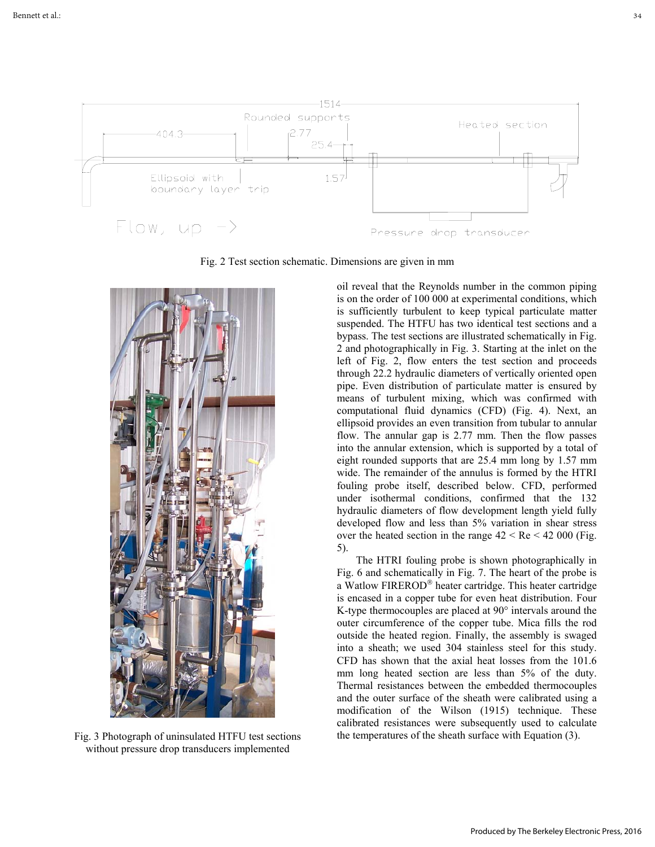

Fig. 2 Test section schematic. Dimensions are given in mm



Fig. 3 Photograph of uninsulated HTFU test sections without pressure drop transducers implemented

oil reveal that the Reynolds number in the common piping is on the order of 100 000 at experimental conditions, which is sufficiently turbulent to keep typical particulate matter suspended. The HTFU has two identical test sections and a bypass. The test sections are illustrated schematically in Fig. 2 and photographically in Fig. 3. Starting at the inlet on the left of Fig. 2, flow enters the test section and proceeds through 22.2 hydraulic diameters of vertically oriented open pipe. Even distribution of particulate matter is ensured by means of turbulent mixing, which was confirmed with computational fluid dynamics (CFD) (Fig. 4). Next, an ellipsoid provides an even transition from tubular to annular flow. The annular gap is 2.77 mm. Then the flow passes into the annular extension, which is supported by a total of eight rounded supports that are 25.4 mm long by 1.57 mm wide. The remainder of the annulus is formed by the HTRI fouling probe itself, described below. CFD, performed under isothermal conditions, confirmed that the 132 hydraulic diameters of flow development length yield fully developed flow and less than 5% variation in shear stress over the heated section in the range  $42 < Re < 42000$  (Fig. 5).

The HTRI fouling probe is shown photographically in Fig. 6 and schematically in Fig. 7. The heart of the probe is a Watlow FIREROD<sup>®</sup> heater cartridge. This heater cartridge is encased in a copper tube for even heat distribution. Four K-type thermocouples are placed at 90° intervals around the outer circumference of the copper tube. Mica fills the rod outside the heated region. Finally, the assembly is swaged into a sheath; we used 304 stainless steel for this study. CFD has shown that the axial heat losses from the 101.6 mm long heated section are less than 5% of the duty. Thermal resistances between the embedded thermocouples and the outer surface of the sheath were calibrated using a modification of the Wilson (1915) technique. These calibrated resistances were subsequently used to calculate the temperatures of the sheath surface with Equation (3).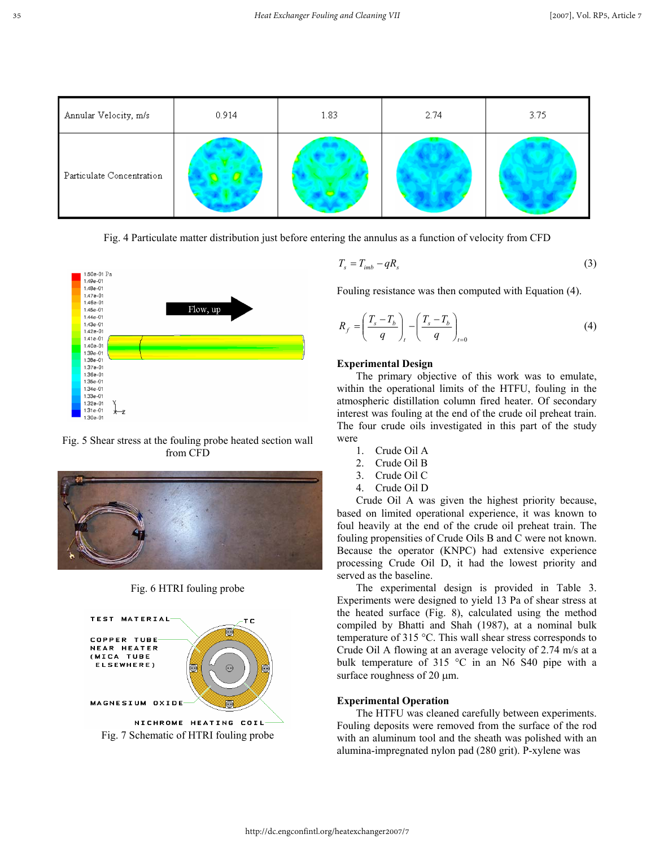

Fig. 4 Particulate matter distribution just before entering the annulus as a function of velocity from CFD



Fig. 5 Shear stress at the fouling probe heated section wall from CFD



Fig. 6 HTRI fouling probe



$$
T_s = T_{imb} - qR_s \tag{3}
$$

Fouling resistance was then computed with Equation (4).

$$
R_f = \left(\frac{T_s - T_b}{q}\right)_t - \left(\frac{T_s - T_b}{q}\right)_{t=0} \tag{4}
$$

#### **Experimental Design**

The primary objective of this work was to emulate, within the operational limits of the HTFU, fouling in the atmospheric distillation column fired heater. Of secondary interest was fouling at the end of the crude oil preheat train. The four crude oils investigated in this part of the study were

- 1. Crude Oil A
- 2. Crude Oil B
- 3. Crude Oil C
- 4. Crude Oil D

Crude Oil A was given the highest priority because, based on limited operational experience, it was known to foul heavily at the end of the crude oil preheat train. The fouling propensities of Crude Oils B and C were not known. Because the operator (KNPC) had extensive experience processing Crude Oil D, it had the lowest priority and served as the baseline.

The experimental design is provided in Table 3. Experiments were designed to yield 13 Pa of shear stress at the heated surface (Fig. 8), calculated using the method compiled by Bhatti and Shah (1987), at a nominal bulk temperature of 315 °C. This wall shear stress corresponds to Crude Oil A flowing at an average velocity of 2.74 m/s at a bulk temperature of 315 °C in an N6 S40 pipe with a surface roughness of 20  $\mu$ m.

#### **Experimental Operation**

The HTFU was cleaned carefully between experiments. Fouling deposits were removed from the surface of the rod with an aluminum tool and the sheath was polished with an alumina-impregnated nylon pad (280 grit). P-xylene was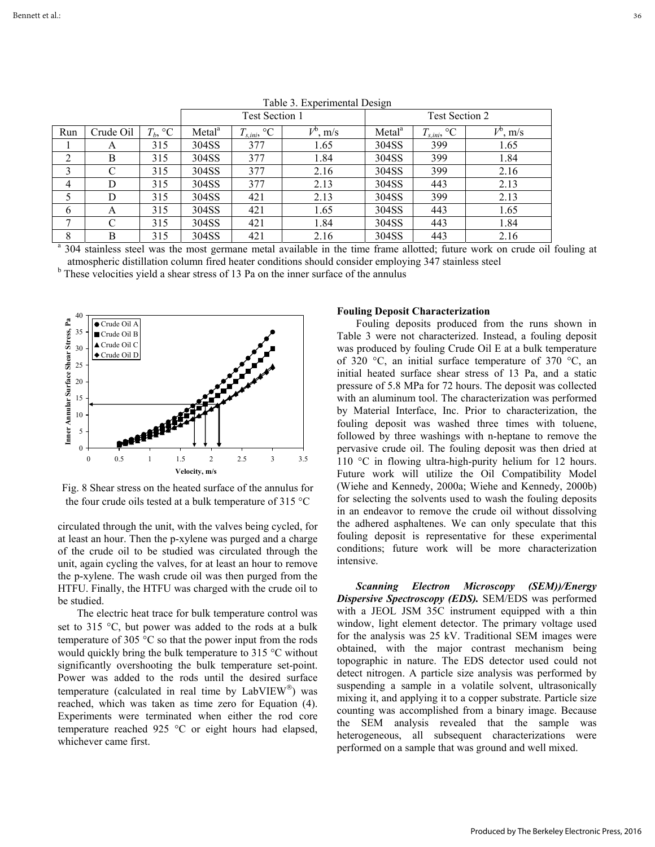|              |           |            |                    | <b>Test Section 1</b> |             | Test Section 2     |                  |                                                                                                                                       |  |
|--------------|-----------|------------|--------------------|-----------------------|-------------|--------------------|------------------|---------------------------------------------------------------------------------------------------------------------------------------|--|
| Run          | Crude Oil | $T_b$ , °C | Metal <sup>a</sup> | $T_{s,ini}$ , °C      | $V^b$ , m/s | Metal <sup>a</sup> | $T_{s,ini}$ , °C | $V^b$ , m/s                                                                                                                           |  |
|              | А         | 315        | 304SS              | 377                   | 1.65        | 304SS              | 399              | 1.65                                                                                                                                  |  |
| ∍            | B         | 315        | 304SS              | 377                   | 1.84        | 304SS              | 399              | 1.84                                                                                                                                  |  |
| 3            | C         | 315        | 304SS              | 377                   | 2.16        | 304SS              | 399              | 2.16                                                                                                                                  |  |
| 4            | D         | 315        | 304SS              | 377                   | 2.13        | 304SS              | 443              | 2.13                                                                                                                                  |  |
|              | D         | 315        | 304SS              | 421                   | 2.13        | 304SS              | 399              | 2.13                                                                                                                                  |  |
| 6            | A         | 315        | 304SS              | 421                   | 1.65        | 304SS              | 443              | 1.65                                                                                                                                  |  |
| $\mathbf{r}$ | C         | 315        | 304SS              | 421                   | 1.84        | 304SS              | 443              | 1.84                                                                                                                                  |  |
| 8            | B         | 315        | 304SS              | 421                   | 2.16        | 304SS              | 443              | 2.16                                                                                                                                  |  |
|              |           |            |                    |                       |             |                    |                  | <sup>a</sup> 304 stainless steel was the most germane metal available in the time frame allotted; future work on crude oil fouling at |  |

Table 3. Experimental Design

atmospheric distillation column fired heater conditions should consider employing 347 stainless steel

<sup>b</sup> These velocities yield a shear stress of 13 Pa on the inner surface of the annulus



Fig. 8 Shear stress on the heated surface of the annulus for the four crude oils tested at a bulk temperature of 315 °C

circulated through the unit, with the valves being cycled, for at least an hour. Then the p-xylene was purged and a charge of the crude oil to be studied was circulated through the unit, again cycling the valves, for at least an hour to remove the p-xylene. The wash crude oil was then purged from the HTFU. Finally, the HTFU was charged with the crude oil to be studied.

The electric heat trace for bulk temperature control was set to 315 °C, but power was added to the rods at a bulk temperature of 305 °C so that the power input from the rods would quickly bring the bulk temperature to 315 °C without significantly overshooting the bulk temperature set-point. Power was added to the rods until the desired surface temperature (calculated in real time by  $LabVIEW^{\circledR})$  was reached, which was taken as time zero for Equation (4). Experiments were terminated when either the rod core temperature reached 925 °C or eight hours had elapsed, whichever came first.

#### **Fouling Deposit Characterization**

Fouling deposits produced from the runs shown in Table 3 were not characterized. Instead, a fouling deposit was produced by fouling Crude Oil E at a bulk temperature of 320 °C, an initial surface temperature of 370 °C, an initial heated surface shear stress of 13 Pa, and a static pressure of 5.8 MPa for 72 hours. The deposit was collected with an aluminum tool. The characterization was performed by Material Interface, Inc. Prior to characterization, the fouling deposit was washed three times with toluene, followed by three washings with n-heptane to remove the pervasive crude oil. The fouling deposit was then dried at 110 °C in flowing ultra-high-purity helium for 12 hours. Future work will utilize the Oil Compatibility Model (Wiehe and Kennedy, 2000a; Wiehe and Kennedy, 2000b) for selecting the solvents used to wash the fouling deposits in an endeavor to remove the crude oil without dissolving the adhered asphaltenes. We can only speculate that this fouling deposit is representative for these experimental conditions; future work will be more characterization intensive.

*Scanning Electron Microscopy (SEM))/Energy Dispersive Spectroscopy (EDS).* SEM/EDS was performed with a JEOL JSM 35C instrument equipped with a thin window, light element detector. The primary voltage used for the analysis was 25 kV. Traditional SEM images were obtained, with the major contrast mechanism being topographic in nature. The EDS detector used could not detect nitrogen. A particle size analysis was performed by suspending a sample in a volatile solvent, ultrasonically mixing it, and applying it to a copper substrate. Particle size counting was accomplished from a binary image. Because the SEM analysis revealed that the sample was heterogeneous, all subsequent characterizations were performed on a sample that was ground and well mixed.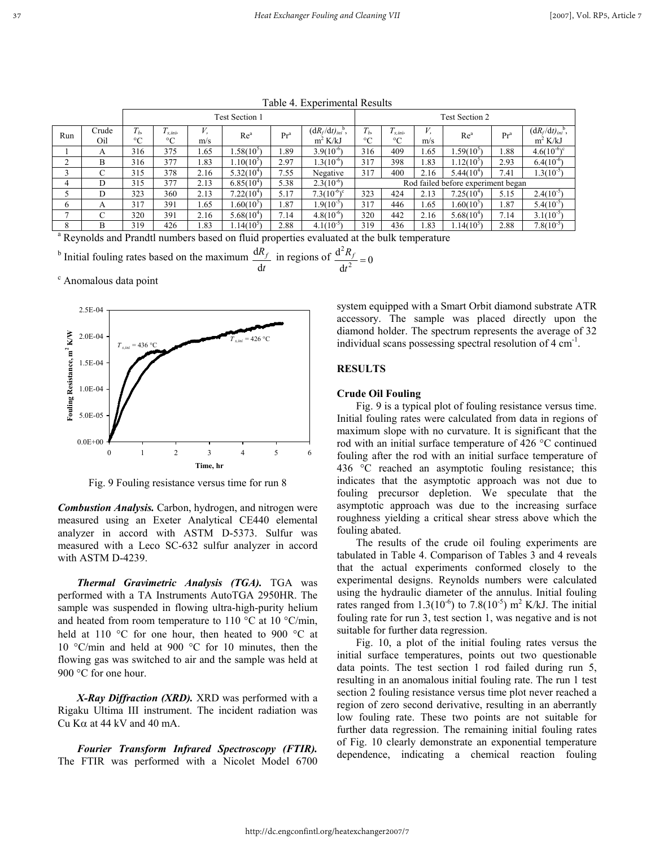|                                                                                                       |              | $1000 - 7.$ EXPOINING ROSARS |                            |      |                 |                 |                                                |                                    |                                |      |                 |        |                                                |
|-------------------------------------------------------------------------------------------------------|--------------|------------------------------|----------------------------|------|-----------------|-----------------|------------------------------------------------|------------------------------------|--------------------------------|------|-----------------|--------|------------------------------------------------|
|                                                                                                       |              | <b>Test Section 1</b>        |                            |      |                 |                 |                                                |                                    | <b>Test Section 2</b>          |      |                 |        |                                                |
| Run                                                                                                   | Crude<br>Oil | $T_h$<br>$^{\circ}C$         | $T_{s.ini}$<br>$^{\circ}C$ | m/s  | Re <sup>a</sup> | Pr <sup>a</sup> | $(dR_f/dt)_{ini}$ <sup>b</sup> ,<br>$m^2$ K/kJ | $T_h$<br>$\rm ^{\circ}C$           | $T_{s.ini}$<br>$\rm ^{\circ}C$ | m/s  | Re <sup>a</sup> | $Pr^a$ | $(dR_f/dt)_{ini}$ <sup>b</sup> ,<br>$m^2$ K/kJ |
|                                                                                                       | A            | 316                          | 375                        | 1.65 | $.58(10^5)$     | .89             | $3.9(10^{-6})$                                 | 316                                | 409                            | 1.65 | $1.59(10^5)$    | 1.88   | $4.6(10^{-6})^c$                               |
|                                                                                                       | B            | 316                          | 377                        | 1.83 | $.10(10^5)$     | 2.97            | $.3(10^{-6})$                                  | 317                                | 398                            | 1.83 | $1.12(10^5)$    | 2.93   | $6.4(10^{-6})$                                 |
|                                                                                                       |              | 315                          | 378                        | 2.16 | $5.32(10^4)$    | 7.55            | Negative                                       | 317                                | 400                            | 2.16 | $5.44(10^{4})$  | 7.41   | $1.3(10^{-5})$                                 |
| 4                                                                                                     | D            | 315                          | 377                        | 2.13 | $6.85(10^4)$    | 5.38            | $2.3(10^{-6})$                                 | Rod failed before experiment began |                                |      |                 |        |                                                |
|                                                                                                       | D            | 323                          | 360                        | 2.13 | $7.22(10^4)$    | 5.17            | $7.3(10^{-6})^{\circ}$                         | 323                                | 424                            | 2.13 | $7.25(10^{4})$  | 5.15   | $2.4(10^{-5})$                                 |
| 6                                                                                                     | A            | 317                          | 391                        | 1.65 | $.60(10^5)$     | 1.87            | $1.9(10^{-5})$                                 | 317                                | 446                            | 1.65 | $1.60(10^{5})$  | 1.87   | $5.4(10^{-5})$                                 |
|                                                                                                       |              | 320                          | 391                        | 2.16 | $5.68(10^{4})$  | 7.14            | $4.8(10^{-6})$                                 | 320                                | 442                            | 2.16 | $5.68(10^{4})$  | 7.14   | $3.1(10^{-5})$                                 |
| 8                                                                                                     | B            | 319                          | 426                        | 1.83 | $14(10^5)$      | 2.88            | $4.1(10^{-5})$                                 | 319                                | 436                            | 1.83 | $1.14(10^5)$    | 2.88   | $7.8(10^{-5})$                                 |
| <sup>a</sup> Reynolds and Prandtl numbers based on fluid properties evaluated at the bulk temperature |              |                              |                            |      |                 |                 |                                                |                                    |                                |      |                 |        |                                                |

Table 4. Experimental Results

<sup>b</sup> Initial fouling rates based on the maximum 
$$
\frac{dR_f}{dt}
$$
 in regions of  $\frac{d^2R_f}{dt^2} = 0$ 

c Anomalous data point



Fig. 9 Fouling resistance versus time for run 8

*Combustion Analysis.* Carbon, hydrogen, and nitrogen were measured using an Exeter Analytical CE440 elemental analyzer in accord with ASTM D-5373. Sulfur was measured with a Leco SC-632 sulfur analyzer in accord with ASTM D-4239.

*Thermal Gravimetric Analysis (TGA).* TGA was performed with a TA Instruments AutoTGA 2950HR. The sample was suspended in flowing ultra-high-purity helium and heated from room temperature to 110  $\degree$ C at 10  $\degree$ C/min, held at 110 °C for one hour, then heated to 900 °C at 10 °C/min and held at 900 °C for 10 minutes, then the flowing gas was switched to air and the sample was held at 900 °C for one hour.

*X-Ray Diffraction (XRD).* XRD was performed with a Rigaku Ultima III instrument. The incident radiation was Cu K $\alpha$  at 44 kV and 40 mA.

*Fourier Transform Infrared Spectroscopy (FTIR).*  The FTIR was performed with a Nicolet Model 6700 system equipped with a Smart Orbit diamond substrate ATR accessory. The sample was placed directly upon the diamond holder. The spectrum represents the average of 32 individual scans possessing spectral resolution of 4 cm<sup>-1</sup>.

#### **RESULTS**

## **Crude Oil Fouling**

Fig. 9 is a typical plot of fouling resistance versus time. Initial fouling rates were calculated from data in regions of maximum slope with no curvature. It is significant that the rod with an initial surface temperature of 426 °C continued fouling after the rod with an initial surface temperature of 436 °C reached an asymptotic fouling resistance; this indicates that the asymptotic approach was not due to fouling precursor depletion. We speculate that the asymptotic approach was due to the increasing surface roughness yielding a critical shear stress above which the fouling abated.

The results of the crude oil fouling experiments are tabulated in Table 4. Comparison of Tables 3 and 4 reveals that the actual experiments conformed closely to the experimental designs. Reynolds numbers were calculated using the hydraulic diameter of the annulus. Initial fouling rates ranged from  $1.3(10^{-6})$  to  $7.8(10^{-5})$  m<sup>2</sup> K/kJ. The initial fouling rate for run 3, test section 1, was negative and is not suitable for further data regression.

Fig. 10, a plot of the initial fouling rates versus the initial surface temperatures, points out two questionable data points. The test section 1 rod failed during run 5, resulting in an anomalous initial fouling rate. The run 1 test section 2 fouling resistance versus time plot never reached a region of zero second derivative, resulting in an aberrantly low fouling rate. These two points are not suitable for further data regression. The remaining initial fouling rates of Fig. 10 clearly demonstrate an exponential temperature dependence, indicating a chemical reaction fouling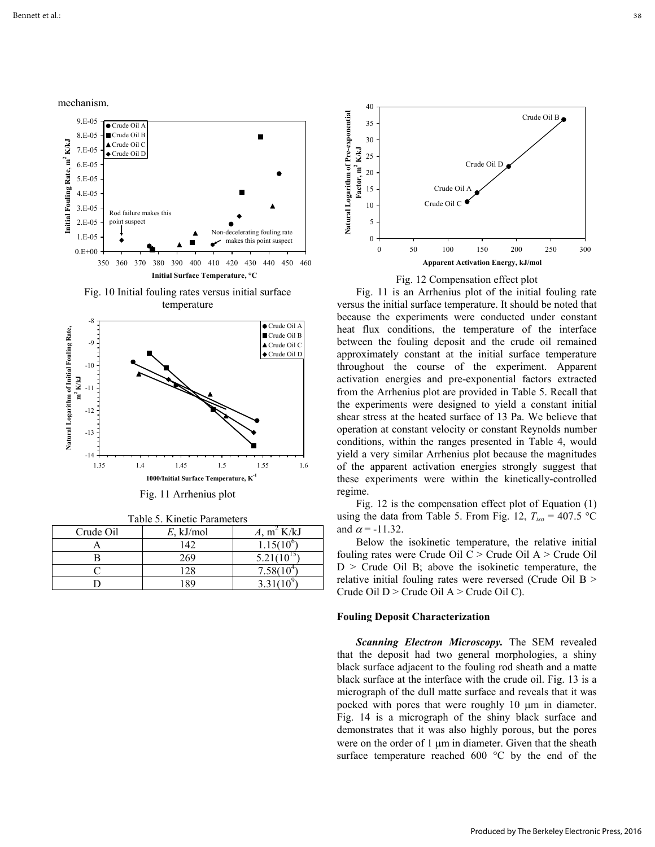mechanism.



Fig. 10 Initial fouling rates versus initial surface temperature



Fig. 11 Arrhenius plot

|     | Table 5. Kinetic Parameters |  |
|-----|-----------------------------|--|
| Oil | $E$ kJ/mol                  |  |

| Crude Oil | $E$ , kJ/mol | A, $m^2$ K/kJ |
|-----------|--------------|---------------|
|           | 142          | $1.15(10^6$   |
|           | 269          | 5.21(         |
|           | 28           | $7.58(10^4$   |
|           |              |               |



## Fig. 12 Compensation effect plot

Fig. 11 is an Arrhenius plot of the initial fouling rate versus the initial surface temperature. It should be noted that because the experiments were conducted under constant heat flux conditions, the temperature of the interface between the fouling deposit and the crude oil remained approximately constant at the initial surface temperature throughout the course of the experiment. Apparent activation energies and pre-exponential factors extracted from the Arrhenius plot are provided in Table 5. Recall that the experiments were designed to yield a constant initial shear stress at the heated surface of 13 Pa. We believe that operation at constant velocity or constant Reynolds number conditions, within the ranges presented in Table 4, would yield a very similar Arrhenius plot because the magnitudes of the apparent activation energies strongly suggest that these experiments were within the kinetically-controlled regime.

Fig. 12 is the compensation effect plot of Equation (1) using the data from Table 5. From Fig. 12,  $T_{iso} = 407.5 \text{ °C}$ and  $\alpha$  = -11.32.

Below the isokinetic temperature, the relative initial fouling rates were Crude Oil  $C >$  Crude Oil  $A >$  Crude Oil  $D >$  Crude Oil B; above the isokinetic temperature, the relative initial fouling rates were reversed (Crude Oil B > Crude Oil  $D >$  Crude Oil  $A >$  Crude Oil C).

#### **Fouling Deposit Characterization**

*Scanning Electron Microscopy.* The SEM revealed that the deposit had two general morphologies, a shiny black surface adjacent to the fouling rod sheath and a matte black surface at the interface with the crude oil. Fig. 13 is a micrograph of the dull matte surface and reveals that it was pocked with pores that were roughly 10 µm in diameter. Fig. 14 is a micrograph of the shiny black surface and demonstrates that it was also highly porous, but the pores were on the order of 1 um in diameter. Given that the sheath surface temperature reached 600 °C by the end of the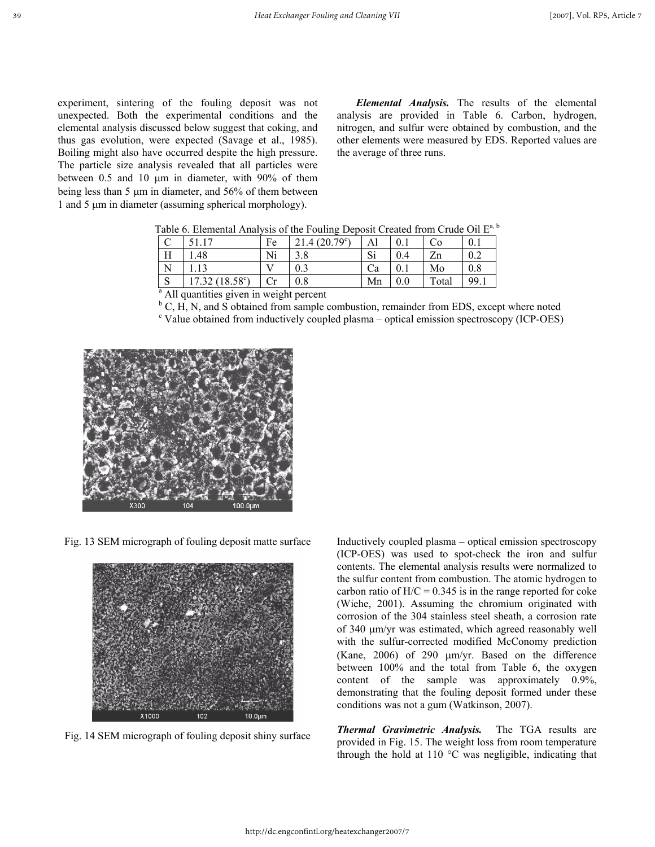experiment, sintering of the fouling deposit was not unexpected. Both the experimental conditions and the elemental analysis discussed below suggest that coking, and thus gas evolution, were expected (Savage et al., 1985). Boiling might also have occurred despite the high pressure. The particle size analysis revealed that all particles were between 0.5 and 10  $\mu$ m in diameter, with 90% of them being less than 5 µm in diameter, and 56% of them between 1 and 5 µm in diameter (assuming spherical morphology).

*Elemental Analysis.* The results of the elemental analysis are provided in Table 6. Carbon, hydrogen, nitrogen, and sulfur were obtained by combustion, and the other elements were measured by EDS. Reported values are the average of three runs.

|             | 51 17                                               | Fe | $(20.79^{\circ})$ | Al |     | ം     | 0.1 |
|-------------|-----------------------------------------------------|----|-------------------|----|-----|-------|-----|
| Н           | .48                                                 | Ni | 3.8               | Si | 0.4 | Zn    | 0.2 |
|             |                                                     |    | 0.3               | Ca |     | Mo    | 0.8 |
| $\mathbf C$ | $17.32(18.58^{\circ})$                              |    | 0.8               | Mn |     | Total | 99. |
|             | <sup>a</sup> All quantities given in weight percent |    |                   |    |     |       |     |

Table 6. Elemental Analysis of the Fouling Deposit Created from Crude Oil E<sup>a, b</sup>

 ${}^{\text{b}}$  C, H, N, and S obtained from sample combustion, remainder from EDS, except where noted <sup>c</sup> Value obtained from inductively coupled plasma – optical emission spectroscopy (ICP-OES)



Fig. 13 SEM micrograph of fouling deposit matte surface



Fig. 14 SEM micrograph of fouling deposit shiny surface

Inductively coupled plasma – optical emission spectroscopy (ICP-OES) was used to spot-check the iron and sulfur contents. The elemental analysis results were normalized to the sulfur content from combustion. The atomic hydrogen to carbon ratio of  $H/C = 0.345$  is in the range reported for coke (Wiehe, 2001). Assuming the chromium originated with corrosion of the 304 stainless steel sheath, a corrosion rate of 340 µm/yr was estimated, which agreed reasonably well with the sulfur-corrected modified McConomy prediction (Kane, 2006) of 290 µm/yr. Based on the difference between 100% and the total from Table 6, the oxygen content of the sample was approximately 0.9%, demonstrating that the fouling deposit formed under these conditions was not a gum (Watkinson, 2007).

*Thermal Gravimetric Analysis.* The TGA results are provided in Fig. 15. The weight loss from room temperature through the hold at 110 °C was negligible, indicating that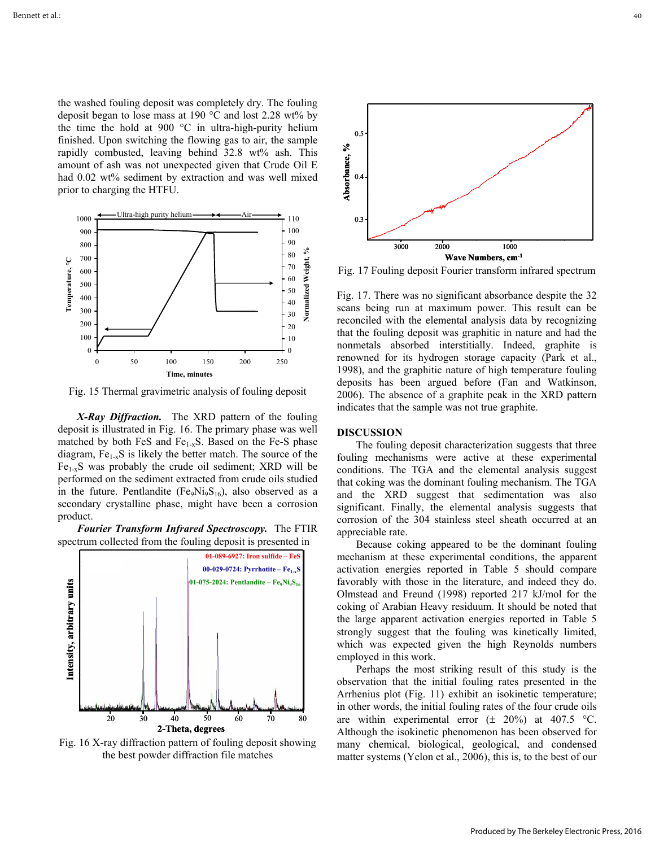the washed fouling deposit was completely dry. The fouling deposit began to lose mass at 190  $\degree$ C and lost 2.28 wt% by the time the hold at 900 °C in ultra-high-purity helium finished. Upon switching the flowing gas to air, the sample rapidly combusted, leaving behind 32.8 wt% ash. This amount of ash was not unexpected given that Crude Oil E had 0.02 wt% sediment by extraction and was well mixed prior to charging the HTFU.



Fig. 15 Thermal gravimetric analysis of fouling deposit

*X-Ray Diffraction.* The XRD pattern of the fouling deposit is illustrated in Fig. 16. The primary phase was well matched by both FeS and  $Fe<sub>1-x</sub>S$ . Based on the Fe-S phase diagram,  $Fe_{1-x}S$  is likely the better match. The source of the  $Fe<sub>1-x</sub>S$  was probably the crude oil sediment; XRD will be performed on the sediment extracted from crude oils studied in the future. Pentlandite (Fe<sub>9</sub>Ni<sub>9</sub>S<sub>16</sub>), also observed as a secondary crystalline phase, might have been a corrosion product.





Fig. 16 X-ray diffraction pattern of fouling deposit showing the best powder diffraction file matches



Fig. 17 Fouling deposit Fourier transform infrared spectrum

Fig. 17. There was no significant absorbance despite the 32 scans being run at maximum power. This result can be reconciled with the elemental analysis data by recognizing that the fouling deposit was graphitic in nature and had the nonmetals absorbed interstitially. Indeed, graphite is renowned for its hydrogen storage capacity (Park et al., 1998), and the graphitic nature of high temperature fouling deposits has been argued before (Fan and Watkinson, 2006). The absence of a graphite peak in the XRD pattern indicates that the sample was not true graphite.

#### **DISCUSSION**

The fouling deposit characterization suggests that three fouling mechanisms were active at these experimental conditions. The TGA and the elemental analysis suggest that coking was the dominant fouling mechanism. The TGA and the XRD suggest that sedimentation was also significant. Finally, the elemental analysis suggests that corrosion of the 304 stainless steel sheath occurred at an appreciable rate.

Because coking appeared to be the dominant fouling mechanism at these experimental conditions, the apparent activation energies reported in Table 5 should compare favorably with those in the literature, and indeed they do. Olmstead and Freund (1998) reported 217 kJ/mol for the coking of Arabian Heavy residuum. It should be noted that the large apparent activation energies reported in Table 5 strongly suggest that the fouling was kinetically limited, which was expected given the high Reynolds numbers employed in this work.

Perhaps the most striking result of this study is the observation that the initial fouling rates presented in the Arrhenius plot (Fig. 11) exhibit an isokinetic temperature; in other words, the initial fouling rates of the four crude oils are within experimental error  $(\pm 20\%)$  at 407.5 °C. Although the isokinetic phenomenon has been observed for many chemical, biological, geological, and condensed matter systems (Yelon et al., 2006), this is, to the best of our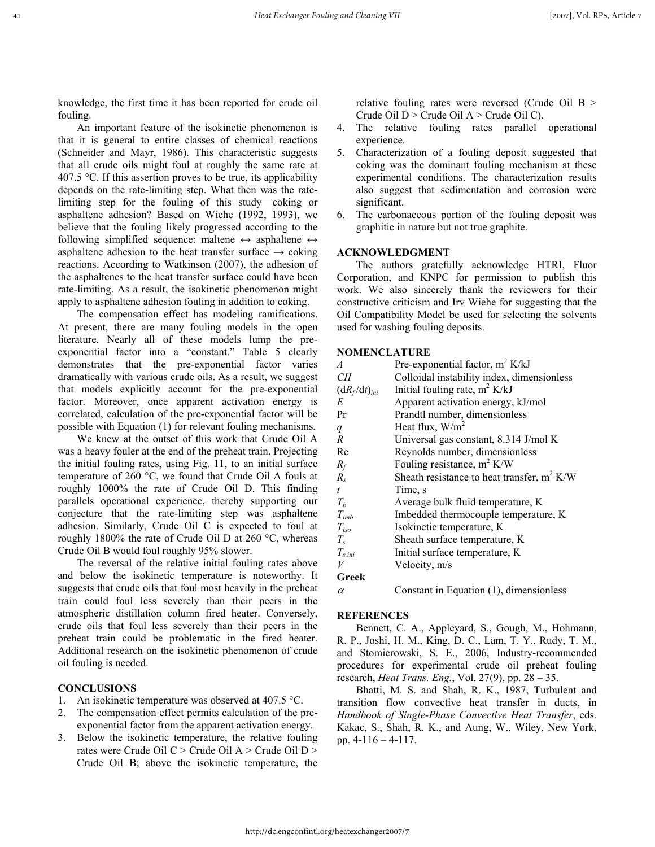knowledge, the first time it has been reported for crude oil fouling.

An important feature of the isokinetic phenomenon is that it is general to entire classes of chemical reactions (Schneider and Mayr, 1986). This characteristic suggests that all crude oils might foul at roughly the same rate at 407.5 °C. If this assertion proves to be true, its applicability depends on the rate-limiting step. What then was the ratelimiting step for the fouling of this study—coking or asphaltene adhesion? Based on Wiehe (1992, 1993), we believe that the fouling likely progressed according to the following simplified sequence: maltene  $\leftrightarrow$  asphaltene  $\leftrightarrow$ asphaltene adhesion to the heat transfer surface  $\rightarrow$  coking reactions. According to Watkinson (2007), the adhesion of the asphaltenes to the heat transfer surface could have been rate-limiting. As a result, the isokinetic phenomenon might apply to asphaltene adhesion fouling in addition to coking.

The compensation effect has modeling ramifications. At present, there are many fouling models in the open literature. Nearly all of these models lump the preexponential factor into a "constant." Table 5 clearly demonstrates that the pre-exponential factor varies dramatically with various crude oils. As a result, we suggest that models explicitly account for the pre-exponential factor. Moreover, once apparent activation energy is correlated, calculation of the pre-exponential factor will be possible with Equation (1) for relevant fouling mechanisms.

We knew at the outset of this work that Crude Oil A was a heavy fouler at the end of the preheat train. Projecting the initial fouling rates, using Fig. 11, to an initial surface temperature of 260 °C, we found that Crude Oil A fouls at roughly 1000% the rate of Crude Oil D. This finding parallels operational experience, thereby supporting our conjecture that the rate-limiting step was asphaltene adhesion. Similarly, Crude Oil C is expected to foul at roughly 1800% the rate of Crude Oil D at 260 °C, whereas Crude Oil B would foul roughly 95% slower.

The reversal of the relative initial fouling rates above and below the isokinetic temperature is noteworthy. It suggests that crude oils that foul most heavily in the preheat train could foul less severely than their peers in the atmospheric distillation column fired heater. Conversely, crude oils that foul less severely than their peers in the preheat train could be problematic in the fired heater. Additional research on the isokinetic phenomenon of crude oil fouling is needed.

## **CONCLUSIONS**

- 1. An isokinetic temperature was observed at 407.5 °C.
- 2. The compensation effect permits calculation of the preexponential factor from the apparent activation energy.
- 3. Below the isokinetic temperature, the relative fouling rates were Crude Oil C > Crude Oil A > Crude Oil D > Crude Oil B; above the isokinetic temperature, the

relative fouling rates were reversed (Crude Oil B > Crude Oil  $D >$  Crude Oil  $A >$  Crude Oil C).

- 4. The relative fouling rates parallel operational experience.
- 5. Characterization of a fouling deposit suggested that coking was the dominant fouling mechanism at these experimental conditions. The characterization results also suggest that sedimentation and corrosion were significant.
- 6. The carbonaceous portion of the fouling deposit was graphitic in nature but not true graphite.

## **ACKNOWLEDGMENT**

The authors gratefully acknowledge HTRI, Fluor Corporation, and KNPC for permission to publish this work. We also sincerely thank the reviewers for their constructive criticism and Irv Wiehe for suggesting that the Oil Compatibility Model be used for selecting the solvents used for washing fouling deposits.

#### **NOMENCLATURE**

| $\overline{A}$     | Pre-exponential factor, $m^2 K/kJ$            |
|--------------------|-----------------------------------------------|
| CШ                 | Colloidal instability index, dimensionless    |
| $(dR_f/dt)_{ini}$  | Initial fouling rate, $m^2$ K/kJ              |
| E                  | Apparent activation energy, kJ/mol            |
| Pr                 | Prandtl number, dimensionless                 |
| q                  | Heat flux, $W/m2$                             |
| $\overline{R}$     | Universal gas constant, 8.314 J/mol K         |
| Re                 | Reynolds number, dimensionless                |
| $R_f$              | Fouling resistance, $m^2$ K/W                 |
| $R_{s}$            | Sheath resistance to heat transfer, $m^2$ K/W |
| t                  | Time, s                                       |
| $T_h$              | Average bulk fluid temperature, K             |
| $T_{imb}$          | Imbedded thermocouple temperature, K          |
| $T_{iso}$          | Isokinetic temperature, K                     |
| $T_{s}$            | Sheath surface temperature, K                 |
| $T_{s,ini}$        | Initial surface temperature, K                |
| V                  | Velocity, m/s                                 |
| $C$ solve $\Gamma$ |                                               |

#### **Greek**

 $\alpha$  Constant in Equation (1), dimensionless

#### **REFERENCES**

 Bennett, C. A., Appleyard, S., Gough, M., Hohmann, R. P., Joshi, H. M., King, D. C., Lam, T. Y., Rudy, T. M., and Stomierowski, S. E., 2006, Industry-recommended procedures for experimental crude oil preheat fouling research, *Heat Trans. Eng.*, Vol. 27(9), pp. 28 – 35.

Bhatti, M. S. and Shah, R. K., 1987, Turbulent and transition flow convective heat transfer in ducts, in *Handbook of Single-Phase Convective Heat Transfer*, eds. Kakac, S., Shah, R. K., and Aung, W., Wiley, New York, pp. 4-116 – 4-117.